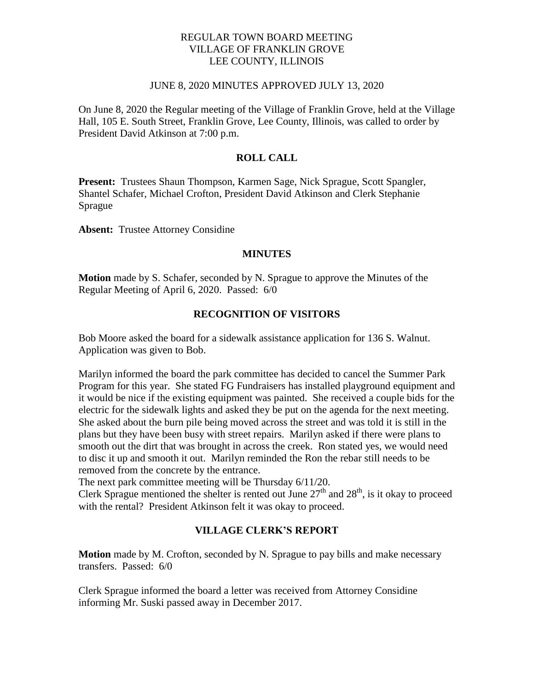## REGULAR TOWN BOARD MEETING VILLAGE OF FRANKLIN GROVE LEE COUNTY, ILLINOIS

#### JUNE 8, 2020 MINUTES APPROVED JULY 13, 2020

On June 8, 2020 the Regular meeting of the Village of Franklin Grove, held at the Village Hall, 105 E. South Street, Franklin Grove, Lee County, Illinois, was called to order by President David Atkinson at 7:00 p.m.

# **ROLL CALL**

**Present:** Trustees Shaun Thompson, Karmen Sage, Nick Sprague, Scott Spangler, Shantel Schafer, Michael Crofton, President David Atkinson and Clerk Stephanie Sprague

**Absent:** Trustee Attorney Considine

### **MINUTES**

**Motion** made by S. Schafer, seconded by N. Sprague to approve the Minutes of the Regular Meeting of April 6, 2020. Passed: 6/0

# **RECOGNITION OF VISITORS**

Bob Moore asked the board for a sidewalk assistance application for 136 S. Walnut. Application was given to Bob.

Marilyn informed the board the park committee has decided to cancel the Summer Park Program for this year. She stated FG Fundraisers has installed playground equipment and it would be nice if the existing equipment was painted. She received a couple bids for the electric for the sidewalk lights and asked they be put on the agenda for the next meeting. She asked about the burn pile being moved across the street and was told it is still in the plans but they have been busy with street repairs. Marilyn asked if there were plans to smooth out the dirt that was brought in across the creek. Ron stated yes, we would need to disc it up and smooth it out. Marilyn reminded the Ron the rebar still needs to be removed from the concrete by the entrance.

The next park committee meeting will be Thursday 6/11/20.

Clerk Sprague mentioned the shelter is rented out June  $27<sup>th</sup>$  and  $28<sup>th</sup>$ , is it okay to proceed with the rental? President Atkinson felt it was okay to proceed.

# **VILLAGE CLERK'S REPORT**

**Motion** made by M. Crofton, seconded by N. Sprague to pay bills and make necessary transfers. Passed: 6/0

Clerk Sprague informed the board a letter was received from Attorney Considine informing Mr. Suski passed away in December 2017.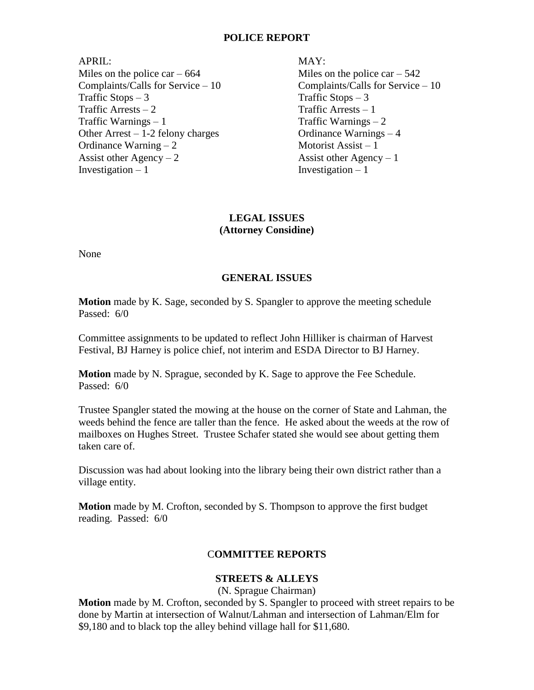### **POLICE REPORT**

APRIL: MAY: Miles on the police car –  $664$  Miles on the police car –  $542$ Complaints/Calls for Service – 10 Complaints/Calls for Service – 10  $T \text{raffic Stops} - 3$  Traffic Stops – 3  $T \text{raffic Arrests} - 2$  Traffic Arrests – 1  $\text{Traffic Warnings} - 1$  Traffic Warnings – 2 Other Arrest – 1-2 felony charges Ordinance Warnings – 4 Ordinance Warning  $-2$  Motorist Assist  $-1$ Assist other  $Agency - 2$  Assist other  $Agency - 1$  $Investigation - 1$  Investigation – 1

# **LEGAL ISSUES (Attorney Considine)**

None

# **GENERAL ISSUES**

**Motion** made by K. Sage, seconded by S. Spangler to approve the meeting schedule Passed: 6/0

Committee assignments to be updated to reflect John Hilliker is chairman of Harvest Festival, BJ Harney is police chief, not interim and ESDA Director to BJ Harney.

**Motion** made by N. Sprague, seconded by K. Sage to approve the Fee Schedule. Passed: 6/0

Trustee Spangler stated the mowing at the house on the corner of State and Lahman, the weeds behind the fence are taller than the fence. He asked about the weeds at the row of mailboxes on Hughes Street. Trustee Schafer stated she would see about getting them taken care of.

Discussion was had about looking into the library being their own district rather than a village entity.

**Motion** made by M. Crofton, seconded by S. Thompson to approve the first budget reading. Passed: 6/0

## C**OMMITTEE REPORTS**

## **STREETS & ALLEYS**

(N. Sprague Chairman)

**Motion** made by M. Crofton, seconded by S. Spangler to proceed with street repairs to be done by Martin at intersection of Walnut/Lahman and intersection of Lahman/Elm for \$9,180 and to black top the alley behind village hall for \$11,680.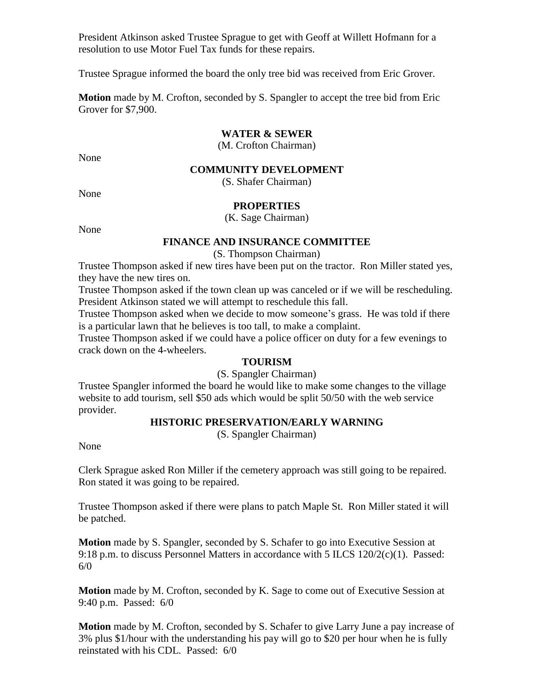President Atkinson asked Trustee Sprague to get with Geoff at Willett Hofmann for a resolution to use Motor Fuel Tax funds for these repairs.

Trustee Sprague informed the board the only tree bid was received from Eric Grover.

**Motion** made by M. Crofton, seconded by S. Spangler to accept the tree bid from Eric Grover for \$7,900.

### **WATER & SEWER**

(M. Crofton Chairman)

None

#### **COMMUNITY DEVELOPMENT**

(S. Shafer Chairman)

None

## **PROPERTIES**

(K. Sage Chairman)

None

### **FINANCE AND INSURANCE COMMITTEE**

(S. Thompson Chairman)

Trustee Thompson asked if new tires have been put on the tractor. Ron Miller stated yes, they have the new tires on.

Trustee Thompson asked if the town clean up was canceled or if we will be rescheduling. President Atkinson stated we will attempt to reschedule this fall.

Trustee Thompson asked when we decide to mow someone's grass. He was told if there is a particular lawn that he believes is too tall, to make a complaint.

Trustee Thompson asked if we could have a police officer on duty for a few evenings to crack down on the 4-wheelers.

### **TOURISM**

(S. Spangler Chairman)

Trustee Spangler informed the board he would like to make some changes to the village website to add tourism, sell \$50 ads which would be split 50/50 with the web service provider.

## **HISTORIC PRESERVATION/EARLY WARNING**

(S. Spangler Chairman)

None

Clerk Sprague asked Ron Miller if the cemetery approach was still going to be repaired. Ron stated it was going to be repaired.

Trustee Thompson asked if there were plans to patch Maple St. Ron Miller stated it will be patched.

**Motion** made by S. Spangler, seconded by S. Schafer to go into Executive Session at 9:18 p.m. to discuss Personnel Matters in accordance with 5 ILCS 120/2(c)(1). Passed: 6/0

**Motion** made by M. Crofton, seconded by K. Sage to come out of Executive Session at 9:40 p.m. Passed: 6/0

**Motion** made by M. Crofton, seconded by S. Schafer to give Larry June a pay increase of 3% plus \$1/hour with the understanding his pay will go to \$20 per hour when he is fully reinstated with his CDL. Passed: 6/0